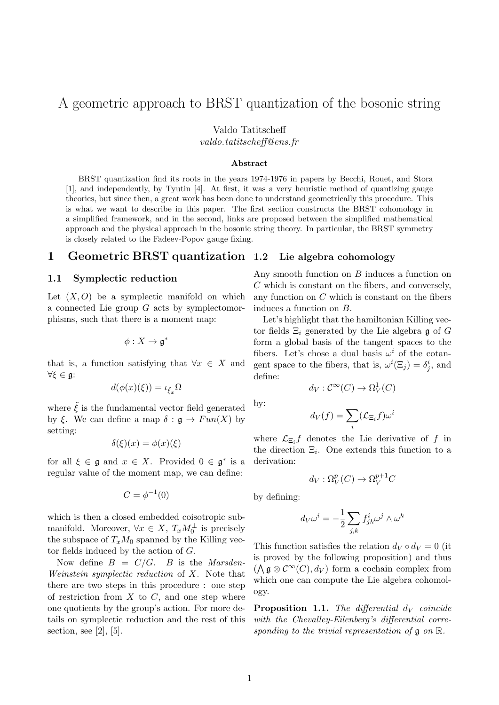# A geometric approach to BRST quantization of the bosonic string

Valdo Tatitscheff

valdo.tatitscheff@ens.fr

#### Abstract

BRST quantization find its roots in the years 1974-1976 in papers by Becchi, Rouet, and Stora [1], and independently, by Tyutin [4]. At first, it was a very heuristic method of quantizing gauge theories, but since then, a great work has been done to understand geometrically this procedure. This is what we want to describe in this paper. The first section constructs the BRST cohomology in a simplified framework, and in the second, links are proposed between the simplified mathematical approach and the physical approach in the bosonic string theory. In particular, the BRST symmetry is closely related to the Fadeev-Popov gauge fixing.

#### 1 Geometric BRST quantization Lie algebra cohomology

### 1.1 Symplectic reduction

Let  $(X, O)$  be a symplectic manifold on which a connected Lie group G acts by symplectomorphisms, such that there is a moment map:

$$
\phi: X \to \mathfrak{g}^*
$$

that is, a function satisfying that  $\forall x \in X$  and ∀ξ ∈ g:

$$
d(\phi(x)(\xi)) = \iota_{\tilde{\xi}_x} \Omega
$$

where  $\tilde{\xi}$  is the fundamental vector field generated by ξ. We can define a map  $\delta : \mathfrak{g} \to Fun(X)$  by setting:

$$
\delta(\xi)(x) = \phi(x)(\xi)
$$

for all  $\xi \in \mathfrak{g}$  and  $x \in X$ . Provided  $0 \in \mathfrak{g}^*$  is a regular value of the moment map, we can define:

$$
C=\phi^{-1}(0)
$$

which is then a closed embedded coisotropic submanifold. Moreover,  $\forall x \in X$ ,  $T_x M_0^{\perp}$  is precisely the subspace of  $T_xM_0$  spanned by the Killing vector fields induced by the action of G.

Now define  $B = C/G$ . B is the Marsden-Weinstein symplectic reduction of X. Note that there are two steps in this procedure : one step of restriction from  $X$  to  $C$ , and one step where one quotients by the group's action. For more details on symplectic reduction and the rest of this section, see  $[2]$ ,  $[5]$ .

Any smooth function on B induces a function on C which is constant on the fibers, and conversely, any function on  $C$  which is constant on the fibers induces a function on B.

Let's highlight that the hamiltonian Killing vector fields  $\Xi_i$  generated by the Lie algebra g of G form a global basis of the tangent spaces to the fibers. Let's chose a dual basis  $\omega^i$  of the cotangent space to the fibers, that is,  $\omega^{i}(\Xi_j) = \delta_j^{i}$ , and define:

$$
d_V: \mathcal{C}^{\infty}(C) \to \Omega^1_V(C)
$$

by:

$$
d_V(f) = \sum_i (\mathcal{L}_{\Xi_i} f) \omega^i
$$

where  $\mathcal{L}_{\Xi_i} f$  denotes the Lie derivative of f in the direction  $\Xi_i$ . One extends this function to a derivation:

$$
d_V: \Omega_V^p(C) \to \Omega_V^{p+1}C
$$

by defining:

$$
d_V\omega^i=-\frac{1}{2}\sum_{j,k}f^i_{jk}\omega^j\wedge\omega^k
$$

This function satisfies the relation  $d_V \circ d_V = 0$  (it is proved by the following proposition) and thus  $(\bigwedge \mathfrak{g} \otimes \mathcal{C}^{\infty}(C), d_V)$  form a cochain complex from which one can compute the Lie algebra cohomology.

**Proposition 1.1.** The differential  $d_V$  coincide with the Chevalley-Eilenberg's differential corresponding to the trivial representation of  $\mathfrak g$  on  $\mathbb R$ .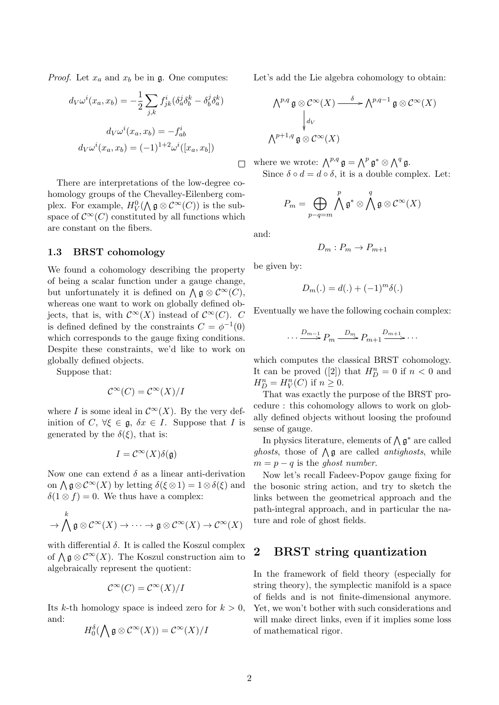*Proof.* Let  $x_a$  and  $x_b$  be in  $\mathfrak{g}$ . One computes:

$$
d_V \omega^i(x_a, x_b) = -\frac{1}{2} \sum_{j,k} f^i_{jk} (\delta^j_a \delta^k_b - \delta^j_b \delta^k_a)
$$

$$
d_V \omega^i(x_a, x_b) = -f^i_{ab}
$$

$$
d_V \omega^i(x_a, x_b) = (-1)^{1+2} \omega^i([x_a, x_b])
$$

There are interpretations of the low-degree cohomology groups of the Chevalley-Eilenberg complex. For example,  $H_V^0(\bigwedge \mathfrak{g} \otimes \mathcal{C}^{\infty}(C))$  is the subspace of  $\mathcal{C}^{\infty}(C)$  constituted by all functions which are constant on the fibers.

#### 1.3 BRST cohomology

We found a cohomology describing the property of being a scalar function under a gauge change, but unfortunately it is defined on  $\bigwedge \mathfrak{g} \otimes \mathcal{C}^{\infty}(C)$ , whereas one want to work on globally defined objects, that is, with  $\mathcal{C}^{\infty}(X)$  instead of  $\mathcal{C}^{\infty}(C)$ . C is defined defined by the constraints  $C = \phi^{-1}(0)$ which corresponds to the gauge fixing conditions. Despite these constraints, we'd like to work on globally defined objects.

Suppose that:

$$
\mathcal{C}^{\infty}(C) = \mathcal{C}^{\infty}(X)/I
$$

where I is some ideal in  $\mathcal{C}^{\infty}(X)$ . By the very definition of C,  $\forall \xi \in \mathfrak{g}, \delta x \in I$ . Suppose that I is generated by the  $\delta(\xi)$ , that is:

$$
I = \mathcal{C}^{\infty}(X)\delta(\mathfrak{g})
$$

Now one can extend  $\delta$  as a linear anti-derivation on  $\bigwedge$   $\mathfrak{g} \otimes \mathcal{C}^{\infty}(X)$  by letting  $\delta(\xi \otimes 1) = 1 \otimes \delta(\xi)$  and  $\delta(1 \otimes f) = 0$ . We thus have a complex:

$$
\to \bigwedge^k \mathfrak{g} \otimes \mathcal{C}^\infty(X) \to \cdots \to \mathfrak{g} \otimes \mathcal{C}^\infty(X) \to \mathcal{C}^\infty(X)
$$

with differential  $\delta$ . It is called the Koszul complex of  $\bigwedge$   $g \otimes \mathcal{C}^{\infty}(X)$ . The Koszul construction aim to algebraically represent the quotient:

$$
\mathcal{C}^{\infty}(C) = \mathcal{C}^{\infty}(X)/I
$$

Its k-th homology space is indeed zero for  $k > 0$ , and:

$$
H_0^{\delta}(\bigwedge \mathfrak{g} \otimes \mathcal{C}^{\infty}(X)) = \mathcal{C}^{\infty}(X)/I
$$

Let's add the Lie algebra cohomology to obtain:

$$
\bigwedge^{p,q} \mathfrak{g} \otimes \mathcal{C}^{\infty}(X) \xrightarrow{\delta} \bigwedge^{p,q-1} \mathfrak{g} \otimes \mathcal{C}^{\infty}(X)
$$
  

$$
\downarrow_{d_V}^{d_V}
$$
  

$$
\bigwedge^{p+1,q} \mathfrak{g} \otimes \mathcal{C}^{\infty}(X)
$$

where we wrote:  $\bigwedge^{p,q} \mathfrak{g} = \bigwedge^p \mathfrak{g}^* \otimes \bigwedge^q \mathfrak{g}.$ Since  $\delta \circ d = d \circ \delta$ , it is a double complex. Let:

$$
P_m = \bigoplus_{p-q=m} \bigwedge^p \mathfrak{g}^* \otimes \bigwedge^q \mathfrak{g} \otimes \mathcal{C}^\infty(X)
$$

and:

 $\Box$ 

$$
D_m: P_m \to P_{m+1}
$$

be given by:

$$
D_m(.) = d(.) + (-1)^m \delta(.)
$$

Eventually we have the following cochain complex:

$$
\cdots \xrightarrow{D_{m-1}} P_m \xrightarrow{D_m} P_{m+1} \xrightarrow{D_{m+1}} \cdots
$$

which computes the classical BRST cohomology. It can be proved ([2]) that  $H_D^n = 0$  if  $n < 0$  and  $H_D^n = H_V^n(C)$  if  $n \geq 0$ .

That was exactly the purpose of the BRST procedure : this cohomology allows to work on globally defined objects without loosing the profound sense of gauge.

In physics literature, elements of  $\bigwedge \mathfrak{g}^*$  are called *ghosts*, those of  $\bigwedge$  **g** are called *antighosts*, while  $m = p - q$  is the ghost number.

Now let's recall Fadeev-Popov gauge fixing for the bosonic string action, and try to sketch the links between the geometrical approach and the path-integral approach, and in particular the nature and role of ghost fields.

## 2 BRST string quantization

In the framework of field theory (especially for string theory), the symplectic manifold is a space of fields and is not finite-dimensional anymore. Yet, we won't bother with such considerations and will make direct links, even if it implies some loss of mathematical rigor.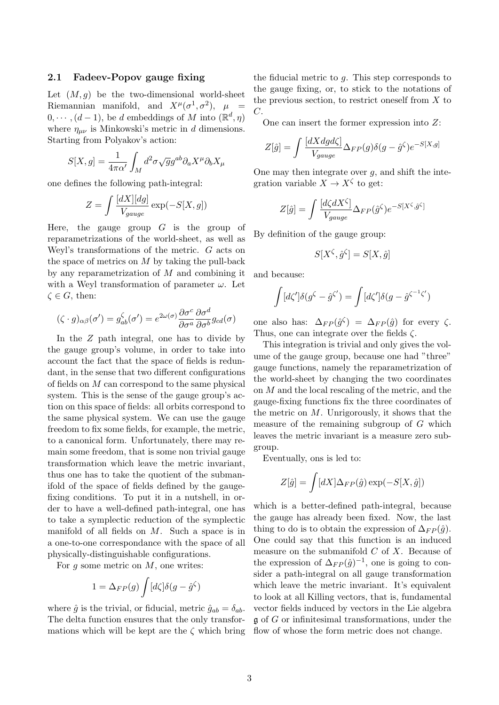#### 2.1 Fadeev-Popov gauge fixing

Let  $(M, g)$  be the two-dimensional world-sheet Riemannian manifold, and  $X^{\mu}(\sigma^1, \sigma^2)$ ,  $\mu =$  $0, \cdots, (d-1)$ , be d embeddings of M into  $(\mathbb{R}^d, \eta)$ where  $\eta_{\mu\nu}$  is Minkowski's metric in d dimensions. Starting from Polyakov's action:

$$
S[X,g] = \frac{1}{4\pi\alpha'} \int_M d^2\sigma \sqrt{g} g^{ab} \partial_a X^\mu \partial_b X_\mu
$$

one defines the following path-integral:

$$
Z = \int \frac{[dX][dg]}{V_{gauge}} \exp(-S[X, g])
$$

Here, the gauge group  $G$  is the group of reparametrizations of the world-sheet, as well as Weyl's transformations of the metric. G acts on the space of metrics on  $M$  by taking the pull-back by any reparametrization of M and combining it with a Weyl transformation of parameter  $\omega$ . Let  $\zeta \in G$ , then:

$$
(\zeta \cdot g)_{\alpha\beta}(\sigma') = g^{\zeta}_{ab}(\sigma') = e^{2\omega(\sigma)} \frac{\partial \sigma^c}{\partial \sigma^a} \frac{\partial \sigma^d}{\partial \sigma^b} g_{cd}(\sigma)
$$

In the Z path integral, one has to divide by the gauge group's volume, in order to take into account the fact that the space of fields is redundant, in the sense that two different configurations of fields on  $M$  can correspond to the same physical system. This is the sense of the gauge group's action on this space of fields: all orbits correspond to the same physical system. We can use the gauge freedom to fix some fields, for example, the metric, to a canonical form. Unfortunately, there may remain some freedom, that is some non trivial gauge transformation which leave the metric invariant, thus one has to take the quotient of the submanifold of the space of fields defined by the gaugefixing conditions. To put it in a nutshell, in order to have a well-defined path-integral, one has to take a symplectic reduction of the symplectic manifold of all fields on M. Such a space is in a one-to-one correspondance with the space of all physically-distinguishable configurations.

For q some metric on  $M$ , one writes:

$$
1 = \Delta_{FP}(g) \int [d\zeta] \delta(g - \hat{g}^{\zeta})
$$

where  $\hat{g}$  is the trivial, or fiducial, metric  $\hat{g}_{ab} = \delta_{ab}$ . The delta function ensures that the only transformations which will be kept are the  $\zeta$  which bring the fiducial metric to  $q$ . This step corresponds to the gauge fixing, or, to stick to the notations of the previous section, to restrict oneself from  $X$  to C.

One can insert the former expression into Z:

$$
Z[\hat{g}] = \int \frac{[dX dg d\zeta]}{V_{gauge}} \Delta_{FP}(g) \delta(g - \hat{g}^{\zeta}) e^{-S[X,g]}
$$

One may then integrate over  $q$ , and shift the integration variable  $X \to X^{\zeta}$  to get:

$$
Z[\hat{g}] = \int \frac{[d\zeta dX^{\zeta}]}{V_{gauge}} \Delta_{FP}(\hat{g}^{\zeta}) e^{-S[X^{\zeta},\hat{g}^{\zeta}]}
$$

By definition of the gauge group:

$$
S[X^{\zeta}, \hat{g}^{\zeta}] = S[X, \hat{g}]
$$

and because:

$$
\int [d\zeta']\delta(g^{\zeta} - \hat{g}^{\zeta'}) = \int [d\zeta']\delta(g - \hat{g}^{\zeta^{-1}\zeta'})
$$

one also has:  $\Delta_{FP}(\hat{g}^{\zeta}) = \Delta_{FP}(\hat{g})$  for every  $\zeta$ . Thus, one can integrate over the fields  $\zeta$ .

This integration is trivial and only gives the volume of the gauge group, because one had "three" gauge functions, namely the reparametrization of the world-sheet by changing the two coordinates on M and the local rescaling of the metric, and the gauge-fixing functions fix the three coordinates of the metric on  $M$ . Unrigorously, it shows that the measure of the remaining subgroup of G which leaves the metric invariant is a measure zero subgroup.

Eventually, ons is led to:

$$
Z[\hat{g}] = \int [dX] \Delta_{FP}(\hat{g}) \exp(-S[X, \hat{g}])
$$

which is a better-defined path-integral, because the gauge has already been fixed. Now, the last thing to do is to obtain the expression of  $\Delta_{FP}(\hat{q})$ . One could say that this function is an induced measure on the submanifold  $C$  of  $X$ . Because of the expression of  $\Delta_{FP}(\hat{g})^{-1}$ , one is going to consider a path-integral on all gauge transformation which leave the metric invariant. It's equivalent to look at all Killing vectors, that is, fundamental vector fields induced by vectors in the Lie algebra  $\mathfrak g$  of G or infinitesimal transformations, under the flow of whose the form metric does not change.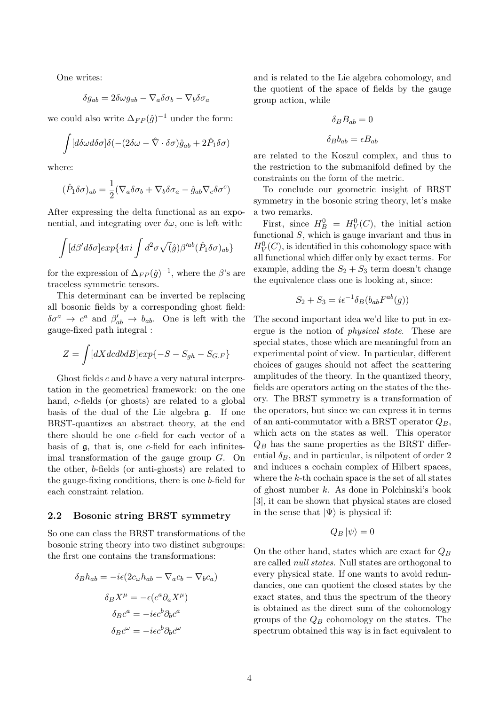One writes:

$$
\delta g_{ab} = 2\delta \omega g_{ab} - \nabla_a \delta \sigma_b - \nabla_b \delta \sigma_a
$$

we could also write  $\Delta_{FP}(\hat{g})^{-1}$  under the form:

$$
\int [d\delta\omega d\delta\sigma]\delta(-(2\delta\omega - \hat{\nabla}\cdot\delta\sigma)\hat{g}_{ab} + 2\hat{P}_1\delta\sigma)
$$

where:

$$
(\hat{P}_1 \delta \sigma)_{ab} = \frac{1}{2} (\nabla_a \delta \sigma_b + \nabla_b \delta \sigma_a - \hat{g}_{ab} \nabla_c \delta \sigma^c)
$$

After expressing the delta functional as an exponential, and integrating over  $\delta\omega$ , one is left with:

$$
\int [d\beta' d\delta \sigma] exp\{4\pi i \int d^2 \sigma \sqrt{(\hat{g})} \beta'^{ab} (\hat{P}_1 \delta \sigma)_{ab}\}\
$$

for the expression of  $\Delta_{FP}(\hat{g})^{-1}$ , where the  $\beta$ 's are traceless symmetric tensors.

This determinant can be inverted be replacing all bosonic fields by a corresponding ghost field:  $\delta\sigma^a \rightarrow c^a$  and  $\beta'_{ab} \rightarrow b_{ab}$ . One is left with the gauge-fixed path integral :

$$
Z = \int [dXdcdbdB] exp\{-S - S_{gh} - S_{G.F}\}\
$$

Ghost fields c and b have a very natural interpretation in the geometrical framework: on the one hand, c-fields (or ghosts) are related to a global basis of the dual of the Lie algebra g. If one BRST-quantizes an abstract theory, at the end there should be one c-field for each vector of a basis of  $\mathfrak g$ , that is, one c-field for each infinitesimal transformation of the gauge group G. On the other, b-fields (or anti-ghosts) are related to the gauge-fixing conditions, there is one b-field for each constraint relation.

#### 2.2 Bosonic string BRST symmetry

So one can class the BRST transformations of the bosonic string theory into two distinct subgroups: the first one contains the transformations:

$$
\delta_B h_{ab} = -i\epsilon (2c_\omega h_{ab} - \nabla_a c_b - \nabla_b c_a)
$$

$$
\delta_B X^\mu = -\epsilon (c^a \partial_a X^\mu)
$$

$$
\delta_B c^a = -i\epsilon c^b \partial_b c^a
$$

$$
\delta_B c^\omega = -i\epsilon c^b \partial_b c^\omega
$$

and is related to the Lie algebra cohomology, and the quotient of the space of fields by the gauge group action, while

$$
\delta_B B_{ab} = 0
$$

$$
\delta_B b_{ab} = \epsilon B_{ab}
$$

are related to the Koszul complex, and thus to the restriction to the submanifold defined by the constraints on the form of the metric.

To conclude our geometric insight of BRST symmetry in the bosonic string theory, let's make a two remarks.

First, since  $H_B^0 = H_V^0(C)$ , the initial action functional S, which is gauge invariant and thus in  $H_V^0(C)$ , is identified in this cohomology space with all functional which differ only by exact terms. For example, adding the  $S_2 + S_3$  term doesn't change the equivalence class one is looking at, since:

$$
S_2 + S_3 = i\epsilon^{-1} \delta_B(b_{ab} F^{ab}(g))
$$

The second important idea we'd like to put in exergue is the notion of physical state. These are special states, those which are meaningful from an experimental point of view. In particular, different choices of gauges should not affect the scattering amplitudes of the theory. In the quantized theory, fields are operators acting on the states of the theory. The BRST symmetry is a transformation of the operators, but since we can express it in terms of an anti-commutator with a BRST operator  $Q_B$ , which acts on the states as well. This operator  $Q_B$  has the same properties as the BRST differential  $\delta_B$ , and in particular, is nilpotent of order 2 and induces a cochain complex of Hilbert spaces, where the  $k$ -th cochain space is the set of all states of ghost number k. As done in Polchinski's book [3], it can be shown that physical states are closed in the sense that  $|\Psi\rangle$  is physical if:

$$
Q_B |\psi\rangle = 0
$$

On the other hand, states which are exact for  $Q_B$ are called null states. Null states are orthogonal to every physical state. If one wants to avoid redundancies, one can quotient the closed states by the exact states, and thus the spectrum of the theory is obtained as the direct sum of the cohomology groups of the  $Q_B$  cohomology on the states. The spectrum obtained this way is in fact equivalent to